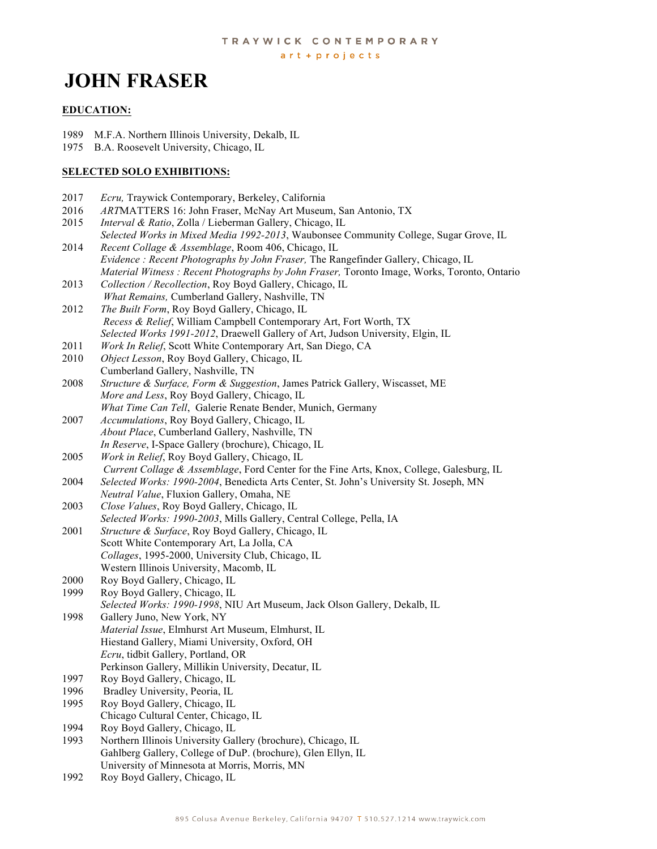# **JOHN FRASER**

#### **EDUCATION:**

- 1989 M.F.A. Northern Illinois University, Dekalb, IL
- 1975 B.A. Roosevelt University, Chicago, IL

#### **SELECTED SOLO EXHIBITIONS:**

- 2017 *Ecru,* Traywick Contemporary, Berkeley, California
- 2016 *ART*MATTERS 16: John Fraser, McNay Art Museum, San Antonio, TX
- 2015 *Interval & Ratio*, Zolla / Lieberman Gallery, Chicago, IL
- *Selected Works in Mixed Media 1992-2013*, Waubonsee Community College, Sugar Grove, IL 2014 *Recent Collage & Assemblage*, Room 406, Chicago, IL
- *Evidence : Recent Photographs by John Fraser,* The Rangefinder Gallery, Chicago, IL *Material Witness : Recent Photographs by John Fraser,* Toronto Image, Works, Toronto, Ontario
- 2013 *Collection / Recollection*, Roy Boyd Gallery, Chicago, IL  *What Remains,* Cumberland Gallery, Nashville, TN
- 2012 *The Built Form*, Roy Boyd Gallery, Chicago, IL *Recess & Relief*, William Campbell Contemporary Art, Fort Worth, TX *Selected Works 1991-2012*, Draewell Gallery of Art, Judson University, Elgin, IL
- 2011 *Work In Relief*, Scott White Contemporary Art, San Diego, CA
- 2010 *Object Lesson*, Roy Boyd Gallery, Chicago, IL Cumberland Gallery, Nashville, TN
- 2008 *Structure & Surface, Form & Suggestion*, James Patrick Gallery, Wiscasset, ME  *More and Less*, Roy Boyd Gallery, Chicago, IL *What Time Can Tell*, Galerie Renate Bender, Munich, Germany
- 2007 *Accumulations*, Roy Boyd Gallery, Chicago, IL *About Place*, Cumberland Gallery, Nashville, TN *In Reserve*, I-Space Gallery (brochure), Chicago, IL
- 2005 *Work in Relief*, Roy Boyd Gallery, Chicago, IL *Current Collage & Assemblage*, Ford Center for the Fine Arts, Knox, College, Galesburg, IL
- 2004 *Selected Works: 1990-2004*, Benedicta Arts Center, St. John's University St. Joseph, MN *Neutral Value*, Fluxion Gallery, Omaha, NE
- 2003 *Close Values*, Roy Boyd Gallery, Chicago, IL *Selected Works: 1990-2003*, Mills Gallery, Central College, Pella, IA
- 2001 *Structure & Surface*, Roy Boyd Gallery, Chicago, IL Scott White Contemporary Art, La Jolla, CA *Collages*, 1995-2000, University Club, Chicago, IL Western Illinois University, Macomb, IL
- 2000 Roy Boyd Gallery, Chicago, IL
- 1999 Roy Boyd Gallery, Chicago, IL
- *Selected Works: 1990-1998*, NIU Art Museum, Jack Olson Gallery, Dekalb, IL
- 1998 Gallery Juno, New York, NY *Material Issue*, Elmhurst Art Museum, Elmhurst, IL Hiestand Gallery, Miami University, Oxford, OH *Ecru*, tidbit Gallery, Portland, OR Perkinson Gallery, Millikin University, Decatur, IL
- 
- 1997 Roy Boyd Gallery, Chicago, IL 1996 Bradley University, Peoria, IL
- 1995 Roy Boyd Gallery, Chicago, IL
- Chicago Cultural Center, Chicago, IL
- 1994 Roy Boyd Gallery, Chicago, IL
- 1993 Northern Illinois University Gallery (brochure), Chicago, IL Gahlberg Gallery, College of DuP. (brochure), Glen Ellyn, IL University of Minnesota at Morris, Morris, MN
- 1992 Roy Boyd Gallery, Chicago, IL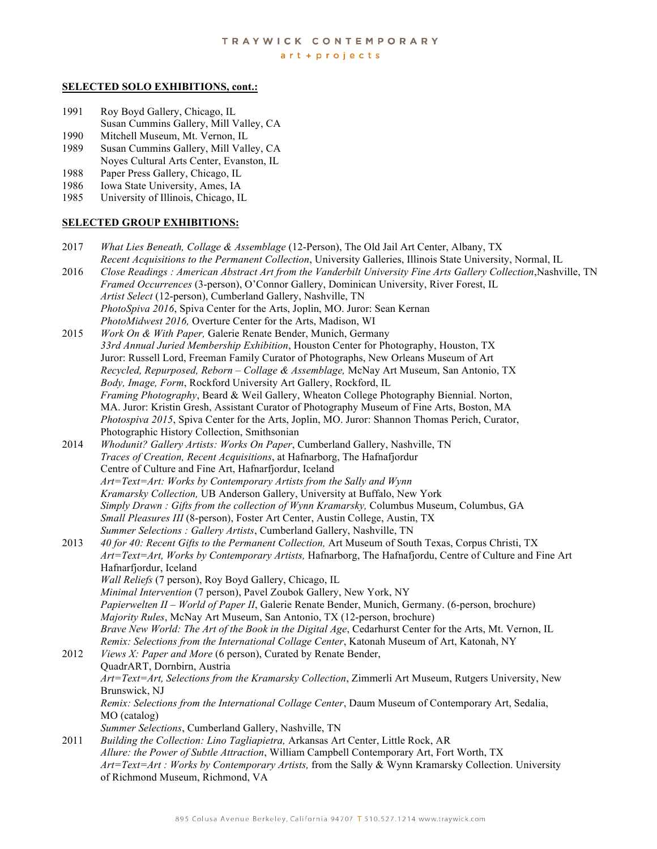#### **SELECTED SOLO EXHIBITIONS, cont.:**

- 1991 Roy Boyd Gallery, Chicago, IL Susan Cummins Gallery, Mill Valley, CA
- 1990 Mitchell Museum, Mt. Vernon, IL
- 1989 Susan Cummins Gallery, Mill Valley, CA Noyes Cultural Arts Center, Evanston, IL
- 1988 Paper Press Gallery, Chicago, IL
- 1986 Iowa State University, Ames, IA
- 1985 University of Illinois, Chicago, IL

#### **SELECTED GROUP EXHIBITIONS:**

- 2017 *What Lies Beneath, Collage & Assemblage* (12-Person), The Old Jail Art Center, Albany, TX *Recent Acquisitions to the Permanent Collection*, University Galleries, Illinois State University, Normal, IL
- 2016 *Close Readings : American Abstract Art from the Vanderbilt University Fine Arts Gallery Collection*,Nashville, TN  *Framed Occurrences* (3-person), O'Connor Gallery, Dominican University, River Forest, IL *Artist Select* (12-person), Cumberland Gallery, Nashville, TN *PhotoSpiva 2016*, Spiva Center for the Arts, Joplin, MO. Juror: Sean Kernan *PhotoMidwest 2016,* Overture Center for the Arts, Madison, WI
- 2015 *Work On & With Paper,* Galerie Renate Bender, Munich, Germany  *33rd Annual Juried Membership Exhibition*, Houston Center for Photography, Houston, TX Juror: Russell Lord, Freeman Family Curator of Photographs, New Orleans Museum of Art  *Recycled, Repurposed, Reborn – Collage & Assemblage,* McNay Art Museum, San Antonio, TX  *Body, Image, Form*, Rockford University Art Gallery, Rockford, IL *Framing Photography*, Beard & Weil Gallery, Wheaton College Photography Biennial. Norton, MA. Juror: Kristin Gresh, Assistant Curator of Photography Museum of Fine Arts, Boston, MA *Photospiva 2015*, Spiva Center for the Arts, Joplin, MO. Juror: Shannon Thomas Perich, Curator, Photographic History Collection, Smithsonian
- 2014 *Whodunit? Gallery Artists: Works On Paper*, Cumberland Gallery, Nashville, TN  *Traces of Creation, Recent Acquisitions*, at Hafnarborg, The Hafnafjordur Centre of Culture and Fine Art, Hafnarfjordur, Iceland  *Art=Text=Art: Works by Contemporary Artists from the Sally and Wynn Kramarsky Collection,* UB Anderson Gallery, University at Buffalo, New York  *Simply Drawn : Gifts from the collection of Wynn Kramarsky,* Columbus Museum, Columbus, GA *Small Pleasures III* (8-person), Foster Art Center, Austin College, Austin, TX *Summer Selections : Gallery Artists*, Cumberland Gallery, Nashville, TN
- 2013 *40 for 40: Recent Gifts to the Permanent Collection,* Art Museum of South Texas, Corpus Christi, TX  *Art=Text=Art, Works by Contemporary Artists,* Hafnarborg, The Hafnafjordu, Centre of Culture and Fine Art Hafnarfjordur, Iceland  *Wall Reliefs* (7 person), Roy Boyd Gallery, Chicago, IL  *Minimal Intervention* (7 person), Pavel Zoubok Gallery, New York, NY  *Papierwelten II – World of Paper II*, Galerie Renate Bender, Munich, Germany. (6-person, brochure) *Majority Rules*, McNay Art Museum, San Antonio, TX (12-person, brochure)

 *Brave New World: The Art of the Book in the Digital Age*, Cedarhurst Center for the Arts, Mt. Vernon, IL *Remix: Selections from the International Collage Center*, Katonah Museum of Art, Katonah, NY 2012 *Views X: Paper and More* (6 person), Curated by Renate Bender, QuadrART, Dornbirn, Austria

 *Art=Text=Art, Selections from the Kramarsky Collection*, Zimmerli Art Museum, Rutgers University, New Brunswick, NJ

 *Remix: Selections from the International Collage Center*, Daum Museum of Contemporary Art, Sedalia, MO (catalog)

*Summer Selections*, Cumberland Gallery, Nashville, TN

2011 *Building the Collection: Lino Tagliapietra,* Arkansas Art Center, Little Rock, AR  *Allure: the Power of Subtle Attraction*, William Campbell Contemporary Art, Fort Worth, TX *Art=Text=Art : Works by Contemporary Artists,* from the Sally & Wynn Kramarsky Collection. University of Richmond Museum, Richmond, VA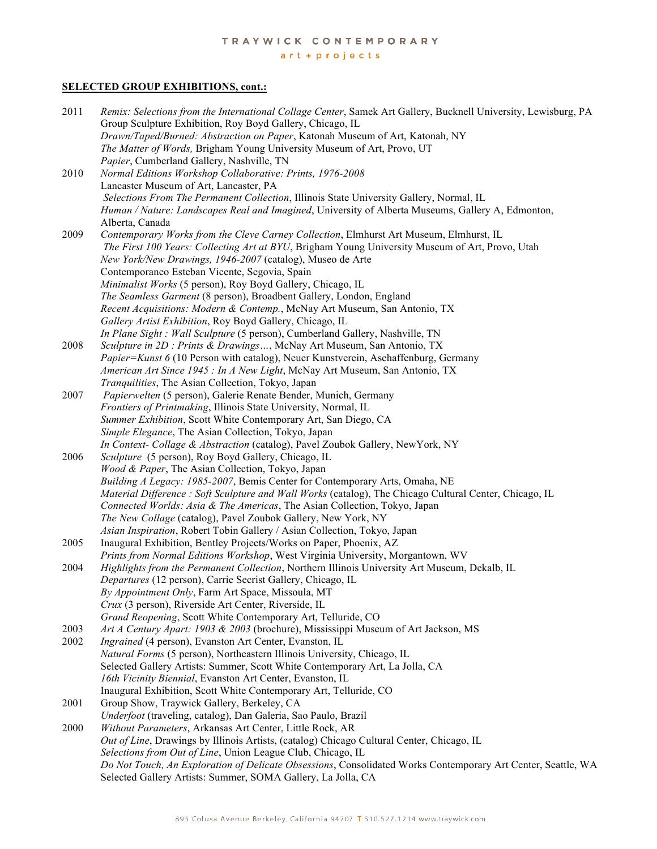#### art + projects

## **SELECTED GROUP EXHIBITIONS, cont.:**

| 2011 | Remix: Selections from the International Collage Center, Samek Art Gallery, Bucknell University, Lewisburg, PA<br>Group Sculpture Exhibition, Roy Boyd Gallery, Chicago, IL |
|------|-----------------------------------------------------------------------------------------------------------------------------------------------------------------------------|
|      | Drawn/Taped/Burned: Abstraction on Paper, Katonah Museum of Art, Katonah, NY<br>The Matter of Words, Brigham Young University Museum of Art, Provo, UT                      |
|      | Papier, Cumberland Gallery, Nashville, TN                                                                                                                                   |
| 2010 | Normal Editions Workshop Collaborative: Prints, 1976-2008                                                                                                                   |
|      | Lancaster Museum of Art, Lancaster, PA                                                                                                                                      |
|      | Selections From The Permanent Collection, Illinois State University Gallery, Normal, IL                                                                                     |
|      | Human / Nature: Landscapes Real and Imagined, University of Alberta Museums, Gallery A, Edmonton,                                                                           |
|      | Alberta, Canada                                                                                                                                                             |
| 2009 | Contemporary Works from the Cleve Carney Collection, Elmhurst Art Museum, Elmhurst, IL                                                                                      |
|      | The First 100 Years: Collecting Art at BYU, Brigham Young University Museum of Art, Provo, Utah                                                                             |
|      | New York/New Drawings, 1946-2007 (catalog), Museo de Arte                                                                                                                   |
|      | Contemporaneo Esteban Vicente, Segovia, Spain                                                                                                                               |
|      | Minimalist Works (5 person), Roy Boyd Gallery, Chicago, IL                                                                                                                  |
|      | The Seamless Garment (8 person), Broadbent Gallery, London, England                                                                                                         |
|      | Recent Acquisitions: Modern & Contemp., McNay Art Museum, San Antonio, TX                                                                                                   |
|      | Gallery Artist Exhibition, Roy Boyd Gallery, Chicago, IL                                                                                                                    |
|      | In Plane Sight : Wall Sculpture (5 person), Cumberland Gallery, Nashville, TN                                                                                               |
| 2008 | Sculpture in 2D : Prints & Drawings, McNay Art Museum, San Antonio, TX                                                                                                      |
|      | Papier=Kunst 6 (10 Person with catalog), Neuer Kunstverein, Aschaffenburg, Germany                                                                                          |
|      | American Art Since 1945 : In A New Light, McNay Art Museum, San Antonio, TX                                                                                                 |
|      | Tranquilities, The Asian Collection, Tokyo, Japan                                                                                                                           |
| 2007 | Papierwelten (5 person), Galerie Renate Bender, Munich, Germany                                                                                                             |
|      | Frontiers of Printmaking, Illinois State University, Normal, IL                                                                                                             |
|      | Summer Exhibition, Scott White Contemporary Art, San Diego, CA                                                                                                              |
|      | Simple Elegance, The Asian Collection, Tokyo, Japan<br>In Context- Collage & Abstraction (catalog), Pavel Zoubok Gallery, NewYork, NY                                       |
| 2006 | Sculpture (5 person), Roy Boyd Gallery, Chicago, IL                                                                                                                         |
|      | Wood & Paper, The Asian Collection, Tokyo, Japan                                                                                                                            |
|      | Building A Legacy: 1985-2007, Bemis Center for Contemporary Arts, Omaha, NE                                                                                                 |
|      | Material Difference : Soft Sculpture and Wall Works (catalog), The Chicago Cultural Center, Chicago, IL                                                                     |
|      | Connected Worlds: Asia & The Americas, The Asian Collection, Tokyo, Japan                                                                                                   |
|      | The New Collage (catalog), Pavel Zoubok Gallery, New York, NY                                                                                                               |
|      | Asian Inspiration, Robert Tobin Gallery / Asian Collection, Tokyo, Japan                                                                                                    |
| 2005 | Inaugural Exhibition, Bentley Projects/Works on Paper, Phoenix, AZ                                                                                                          |
|      | Prints from Normal Editions Workshop, West Virginia University, Morgantown, WV                                                                                              |
| 2004 | Highlights from the Permanent Collection, Northern Illinois University Art Museum, Dekalb, IL                                                                               |
|      | Departures (12 person), Carrie Secrist Gallery, Chicago, IL                                                                                                                 |
|      | By Appointment Only, Farm Art Space, Missoula, MT                                                                                                                           |
|      | Crux (3 person), Riverside Art Center, Riverside, IL                                                                                                                        |
|      | Grand Reopening, Scott White Contemporary Art, Telluride, CO                                                                                                                |
| 2003 | Art A Century Apart: 1903 & 2003 (brochure), Mississippi Museum of Art Jackson, MS                                                                                          |
| 2002 | Ingrained (4 person), Evanston Art Center, Evanston, IL                                                                                                                     |
|      | Natural Forms (5 person), Northeastern Illinois University, Chicago, IL                                                                                                     |
|      | Selected Gallery Artists: Summer, Scott White Contemporary Art, La Jolla, CA<br>16th Vicinity Biennial, Evanston Art Center, Evanston, IL                                   |
|      | Inaugural Exhibition, Scott White Contemporary Art, Telluride, CO                                                                                                           |
| 2001 | Group Show, Traywick Gallery, Berkeley, CA                                                                                                                                  |
|      | Underfoot (traveling, catalog), Dan Galeria, Sao Paulo, Brazil                                                                                                              |
| 2000 | Without Parameters, Arkansas Art Center, Little Rock, AR                                                                                                                    |
|      | Out of Line, Drawings by Illinois Artists, (catalog) Chicago Cultural Center, Chicago, IL                                                                                   |
|      | Selections from Out of Line, Union League Club, Chicago, IL                                                                                                                 |
|      | Do Not Touch, An Exploration of Delicate Obsessions, Consolidated Works Contemporary Art Center, Seattle, WA                                                                |
|      | Selected Gallery Artists: Summer, SOMA Gallery, La Jolla, CA                                                                                                                |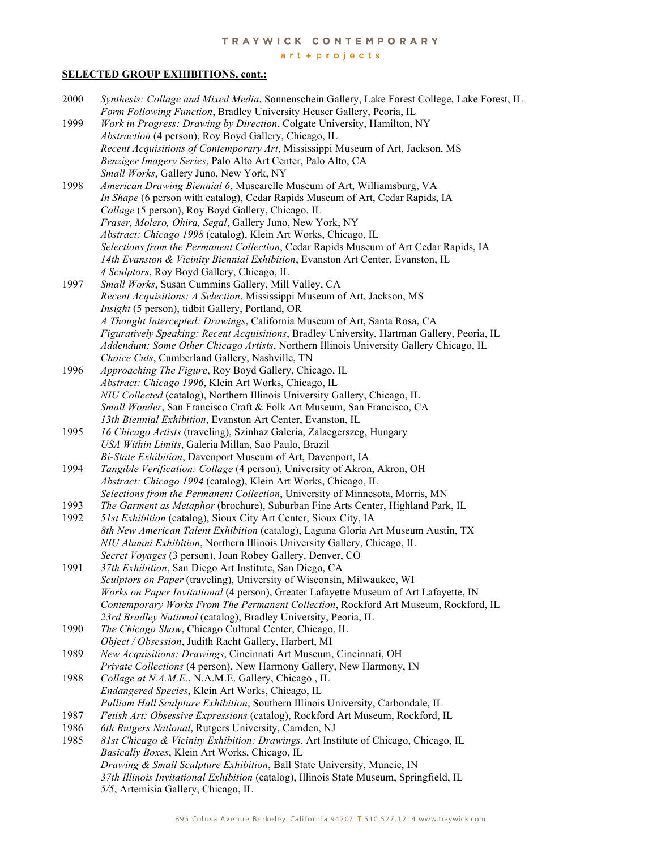#### art + projects

## **SELECTED GROUP EXHIBITIONS, cont.:**

| 2000 | Synthesis: Collage and Mixed Media, Sonnenschein Gallery, Lake Forest College, Lake Forest, IL                                           |
|------|------------------------------------------------------------------------------------------------------------------------------------------|
|      | Form Following Function, Bradley University Heuser Gallery, Peoria, IL                                                                   |
| 1999 | Work in Progress: Drawing by Direction, Colgate University, Hamilton, NY                                                                 |
|      | <i>Abstraction</i> (4 person), Roy Boyd Gallery, Chicago, IL                                                                             |
|      | Recent Acquisitions of Contemporary Art, Mississippi Museum of Art, Jackson, MS                                                          |
|      | Benziger Imagery Series, Palo Alto Art Center, Palo Alto, CA                                                                             |
|      | Small Works, Gallery Juno, New York, NY                                                                                                  |
| 1998 | American Drawing Biennial 6, Muscarelle Museum of Art, Williamsburg, VA                                                                  |
|      | In Shape (6 person with catalog), Cedar Rapids Museum of Art, Cedar Rapids, IA                                                           |
|      | Collage (5 person), Roy Boyd Gallery, Chicago, IL                                                                                        |
|      | Fraser, Molero, Ohira, Segal, Gallery Juno, New York, NY                                                                                 |
|      | Abstract: Chicago 1998 (catalog), Klein Art Works, Chicago, IL                                                                           |
|      | Selections from the Permanent Collection, Cedar Rapids Museum of Art Cedar Rapids, IA                                                    |
|      | 14th Evanston & Vicinity Biennial Exhibition, Evanston Art Center, Evanston, IL                                                          |
|      | 4 Sculptors, Roy Boyd Gallery, Chicago, IL                                                                                               |
| 1997 | Small Works, Susan Cummins Gallery, Mill Valley, CA                                                                                      |
|      | Recent Acquisitions: A Selection, Mississippi Museum of Art, Jackson, MS                                                                 |
|      | Insight (5 person), tidbit Gallery, Portland, OR                                                                                         |
|      | A Thought Intercepted: Drawings, California Museum of Art, Santa Rosa, CA                                                                |
|      | Figuratively Speaking: Recent Acquisitions, Bradley University, Hartman Gallery, Peoria, IL                                              |
|      | Addendum: Some Other Chicago Artists, Northern Illinois University Gallery Chicago, IL                                                   |
|      | Choice Cuts, Cumberland Gallery, Nashville, TN                                                                                           |
| 1996 | Approaching The Figure, Roy Boyd Gallery, Chicago, IL                                                                                    |
|      | Abstract: Chicago 1996, Klein Art Works, Chicago, IL                                                                                     |
|      | NIU Collected (catalog), Northern Illinois University Gallery, Chicago, IL                                                               |
|      | Small Wonder, San Francisco Craft & Folk Art Museum, San Francisco, CA                                                                   |
|      | 13th Biennial Exhibition, Evanston Art Center, Evanston, IL                                                                              |
| 1995 | 16 Chicago Artists (traveling), Szinhaz Galeria, Zalaegerszeg, Hungary                                                                   |
|      | USA Within Limits, Galeria Millan, Sao Paulo, Brazil                                                                                     |
| 1994 | Bi-State Exhibition, Davenport Museum of Art, Davenport, IA<br>Tangible Verification: Collage (4 person), University of Akron, Akron, OH |
|      | Abstract: Chicago 1994 (catalog), Klein Art Works, Chicago, IL                                                                           |
|      | Selections from the Permanent Collection, University of Minnesota, Morris, MN                                                            |
| 1993 | The Garment as Metaphor (brochure), Suburban Fine Arts Center, Highland Park, IL                                                         |
| 1992 | 51st Exhibition (catalog), Sioux City Art Center, Sioux City, IA                                                                         |
|      | 8th New American Talent Exhibition (catalog), Laguna Gloria Art Museum Austin, TX                                                        |
|      | NIU Alumni Exhibition, Northern Illinois University Gallery, Chicago, IL                                                                 |
|      | Secret Voyages (3 person), Joan Robey Gallery, Denver, CO                                                                                |
| 1991 | 37th Exhibition, San Diego Art Institute, San Diego, CA                                                                                  |
|      | Sculptors on Paper (traveling), University of Wisconsin, Milwaukee, WI                                                                   |
|      | Works on Paper Invitational (4 person), Greater Lafayette Museum of Art Lafayette, IN                                                    |
|      | Contemporary Works From The Permanent Collection, Rockford Art Museum, Rockford, IL                                                      |
|      | 23rd Bradley National (catalog), Bradley University, Peoria, IL                                                                          |
| 1990 | The Chicago Show, Chicago Cultural Center, Chicago, IL                                                                                   |
|      | Object / Obsession, Judith Racht Gallery, Harbert, MI                                                                                    |
| 1989 | New Acquisitions: Drawings, Cincinnati Art Museum, Cincinnati, OH                                                                        |
|      | Private Collections (4 person), New Harmony Gallery, New Harmony, IN                                                                     |
| 1988 | Collage at N.A.M.E., N.A.M.E. Gallery, Chicago, IL                                                                                       |
|      | Endangered Species, Klein Art Works, Chicago, IL                                                                                         |
|      | Pulliam Hall Sculpture Exhibition, Southern Illinois University, Carbondale, IL                                                          |
| 1987 | Fetish Art: Obsessive Expressions (catalog), Rockford Art Museum, Rockford, IL                                                           |
| 1986 | 6th Rutgers National, Rutgers University, Camden, NJ                                                                                     |
| 1985 | 81st Chicago & Vicinity Exhibition: Drawings, Art Institute of Chicago, Chicago, IL                                                      |
|      | Basically Boxes, Klein Art Works, Chicago, IL                                                                                            |
|      | Drawing & Small Sculpture Exhibition, Ball State University, Muncie, IN                                                                  |
|      | 37th Illinois Invitational Exhibition (catalog), Illinois State Museum, Springfield, IL                                                  |
|      | 5/5, Artemisia Gallery, Chicago, IL                                                                                                      |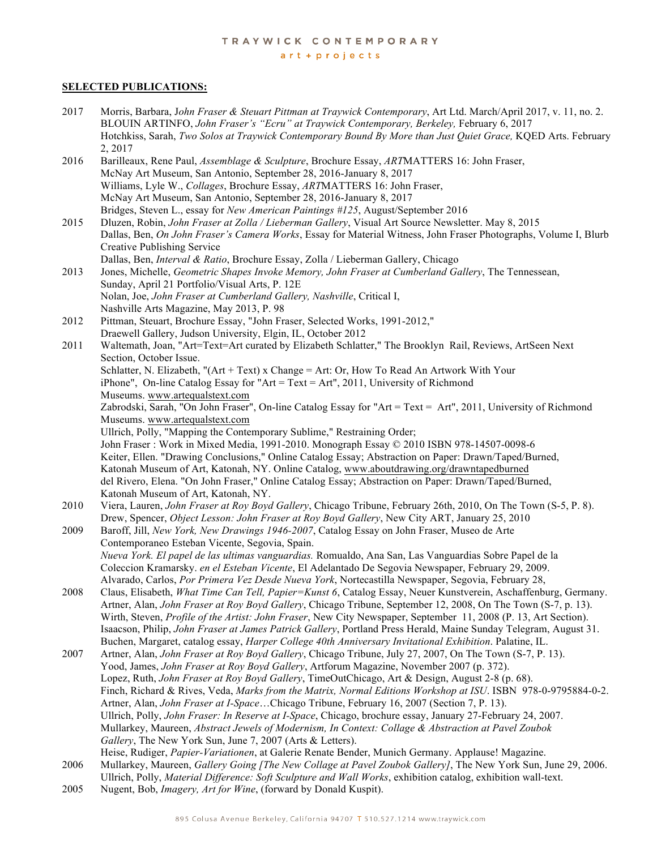$art + projects$ 

#### **SELECTED PUBLICATIONS:**

- 2017 Morris, Barbara, J*ohn Fraser & Steuart Pittman at Traywick Contemporary*, Art Ltd. March/April 2017, v. 11, no. 2. BLOUIN ARTINFO, *John Fraser's "Ecru" at Traywick Contemporary, Berkeley,* February 6, 2017 Hotchkiss, Sarah, *Two Solos at Traywick Contemporary Bound By More than Just Quiet Grace,* KQED Arts. February 2, 2017 2016 Barilleaux, Rene Paul, *Assemblage & Sculpture*, Brochure Essay, *ART*MATTERS 16: John Fraser, McNay Art Museum, San Antonio, September 28, 2016-January 8, 2017 Williams, Lyle W., *Collages*, Brochure Essay, *ART*MATTERS 16: John Fraser, McNay Art Museum, San Antonio, September 28, 2016-January 8, 2017 Bridges, Steven L., essay for *New American Paintings #125*, August/September 2016 2015 Dluzen, Robin, *John Fraser at Zolla / Lieberman Gallery*, Visual Art Source Newsletter. May 8, 2015 Dallas, Ben, *On John Fraser's Camera Works*, Essay for Material Witness, John Fraser Photographs, Volume I, Blurb Creative Publishing Service Dallas, Ben, *Interval & Ratio*, Brochure Essay, Zolla / Lieberman Gallery, Chicago 2013 Jones, Michelle, *Geometric Shapes Invoke Memory, John Fraser at Cumberland Gallery*, The Tennessean, Sunday, April 21 Portfolio/Visual Arts, P. 12E Nolan, Joe, *John Fraser at Cumberland Gallery, Nashville*, Critical I, Nashville Arts Magazine, May 2013, P. 98 2012 Pittman, Steuart, Brochure Essay, "John Fraser, Selected Works, 1991-2012," Draewell Gallery, Judson University, Elgin, IL, October 2012 2011 Waltemath, Joan, "Art=Text=Art curated by Elizabeth Schlatter," The Brooklyn Rail, Reviews, ArtSeen Next Section, October Issue. Schlatter, N. Elizabeth, " $(Art + Text)$  x Change = Art: Or, How To Read An Artwork With Your iPhone", On-line Catalog Essay for "Art = Text = Art", 2011, University of Richmond Museums. www.artequalstext.com Zabrodski, Sarah, "On John Fraser", On-line Catalog Essay for "Art = Text = Art", 2011, University of Richmond Museums. www.artequalstext.com Ullrich, Polly, "Mapping the Contemporary Sublime," Restraining Order; John Fraser : Work in Mixed Media, 1991-2010. Monograph Essay © 2010 ISBN 978-14507-0098-6 Keiter, Ellen. "Drawing Conclusions," Online Catalog Essay; Abstraction on Paper: Drawn/Taped/Burned, Katonah Museum of Art, Katonah, NY. Online Catalog, www.aboutdrawing.org/drawntapedburned del Rivero, Elena. "On John Fraser," Online Catalog Essay; Abstraction on Paper: Drawn/Taped/Burned, Katonah Museum of Art, Katonah, NY. 2010 Viera, Lauren, *John Fraser at Roy Boyd Gallery*, Chicago Tribune, February 26th, 2010, On The Town (S-5, P. 8). Drew, Spencer, *Object Lesson: John Fraser at Roy Boyd Gallery*, New City ART, January 25, 2010 2009 Baroff, Jill, *New York, New Drawings 1946-2007*, Catalog Essay on John Fraser, Museo de Arte Contemporaneo Esteban Vicente, Segovia, Spain.  *Nueva York. El papel de las ultimas vanguardias.* Romualdo, Ana San, Las Vanguardias Sobre Papel de la Coleccion Kramarsky. *en el Esteban Vicente*, El Adelantado De Segovia Newspaper, February 29, 2009. Alvarado, Carlos, *Por Primera Vez Desde Nueva York*, Nortecastilla Newspaper, Segovia, February 28, 2008 Claus, Elisabeth, *What Time Can Tell, Papier=Kunst 6*, Catalog Essay, Neuer Kunstverein, Aschaffenburg, Germany. Artner, Alan, *John Fraser at Roy Boyd Gallery*, Chicago Tribune, September 12, 2008, On The Town (S-7, p. 13). Wirth, Steven, *Profile of the Artist: John Fraser*, New City Newspaper, September 11, 2008 (P. 13, Art Section). Isaacson, Philip, *John Fraser at James Patrick Gallery*, Portland Press Herald, Maine Sunday Telegram, August 31. Buchen, Margaret, catalog essay, *Harper College 40th Anniversary Invitational Exhibition*. Palatine, IL. 2007 Artner, Alan, *John Fraser at Roy Boyd Gallery*, Chicago Tribune, July 27, 2007, On The Town (S-7, P. 13). Yood, James, *John Fraser at Roy Boyd Gallery*, Artforum Magazine, November 2007 (p. 372). Lopez, Ruth, *John Fraser at Roy Boyd Gallery*, TimeOutChicago, Art & Design, August 2-8 (p. 68). Finch, Richard & Rives, Veda, *Marks from the Matrix, Normal Editions Workshop at ISU*. ISBN 978-0-9795884-0-2. Artner, Alan, *John Fraser at I-Space*…Chicago Tribune, February 16, 2007 (Section 7, P. 13). Ullrich, Polly, *John Fraser: In Reserve at I-Space*, Chicago, brochure essay, January 27-February 24, 2007. Mullarkey, Maureen, *Abstract Jewels of Modernism, In Context: Collage & Abstraction at Pavel Zoubok Gallery*, The New York Sun, June 7, 2007 (Arts & Letters). Heise, Rudiger, *Papier-Variationen*, at Galerie Renate Bender, Munich Germany. Applause! Magazine. 2006 Mullarkey, Maureen, *Gallery Going [The New Collage at Pavel Zoubok Gallery]*, The New York Sun, June 29, 2006. Ullrich, Polly, *Material Difference: Soft Sculpture and Wall Works*, exhibition catalog, exhibition wall-text.
- 2005 Nugent, Bob, *Imagery, Art for Wine*, (forward by Donald Kuspit).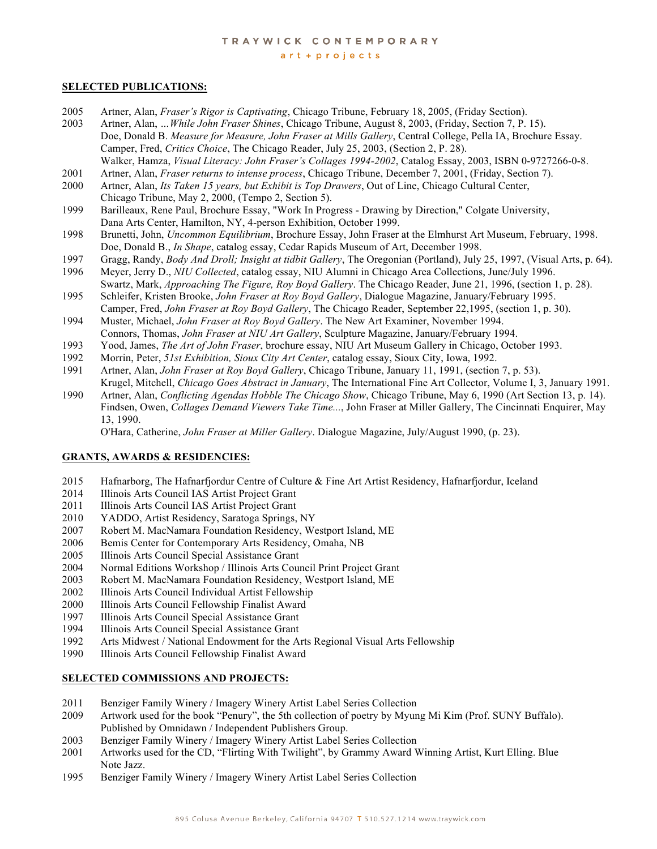$art + projects$ 

#### **SELECTED PUBLICATIONS:**

- 2005 Artner, Alan, *Fraser's Rigor is Captivating*, Chicago Tribune, February 18, 2005, (Friday Section).
- 2003 Artner, Alan, *…While John Fraser Shines*, Chicago Tribune, August 8, 2003, (Friday, Section 7, P. 15). Doe, Donald B. *Measure for Measure, John Fraser at Mills Gallery*, Central College, Pella IA, Brochure Essay. Camper, Fred, *Critics Choice*, The Chicago Reader, July 25, 2003, (Section 2, P. 28). Walker, Hamza, *Visual Literacy: John Fraser's Collages 1994-2002*, Catalog Essay, 2003, ISBN 0-9727266-0-8.
- 2001 Artner, Alan, *Fraser returns to intense process*, Chicago Tribune, December 7, 2001, (Friday, Section 7).
- 2000 Artner, Alan, *Its Taken 15 years, but Exhibit is Top Drawers*, Out of Line, Chicago Cultural Center, Chicago Tribune, May 2, 2000, (Tempo 2, Section 5).
- 1999 Barilleaux, Rene Paul, Brochure Essay, "Work In Progress Drawing by Direction," Colgate University, Dana Arts Center, Hamilton, NY, 4-person Exhibition, October 1999.
- 1998 Brunetti, John, *Uncommon Equilibrium*, Brochure Essay, John Fraser at the Elmhurst Art Museum, February, 1998. Doe, Donald B., *In Shape*, catalog essay, Cedar Rapids Museum of Art, December 1998.
- 1997 Gragg, Randy, *Body And Droll; Insight at tidbit Gallery*, The Oregonian (Portland), July 25, 1997, (Visual Arts, p. 64).
- 1996 Meyer, Jerry D., *NIU Collected*, catalog essay, NIU Alumni in Chicago Area Collections, June/July 1996. Swartz, Mark, *Approaching The Figure, Roy Boyd Gallery*. The Chicago Reader, June 21, 1996, (section 1, p. 28).
- 1995 Schleifer, Kristen Brooke, *John Fraser at Roy Boyd Gallery*, Dialogue Magazine, January/February 1995. Camper, Fred, *John Fraser at Roy Boyd Gallery*, The Chicago Reader, September 22,1995, (section 1, p. 30).
- 1994 Muster, Michael, *John Fraser at Roy Boyd Gallery*. The New Art Examiner, November 1994. Connors, Thomas, *John Fraser at NIU Art Gallery*, Sculpture Magazine, January/February 1994.
- 1993 Yood, James, *The Art of John Fraser*, brochure essay, NIU Art Museum Gallery in Chicago, October 1993.
- 1992 Morrin, Peter, *51st Exhibition, Sioux City Art Center*, catalog essay, Sioux City, Iowa, 1992.
- 1991 Artner, Alan, *John Fraser at Roy Boyd Gallery*, Chicago Tribune, January 11, 1991, (section 7, p. 53). Krugel, Mitchell, *Chicago Goes Abstract in January*, The International Fine Art Collector, Volume I, 3, January 1991.
- 1990 Artner, Alan, *Conflicting Agendas Hobble The Chicago Show*, Chicago Tribune, May 6, 1990 (Art Section 13, p. 14). Findsen, Owen, *Collages Demand Viewers Take Time...*, John Fraser at Miller Gallery, The Cincinnati Enquirer, May 13, 1990.

O'Hara, Catherine, *John Fraser at Miller Gallery*. Dialogue Magazine, July/August 1990, (p. 23).

#### **GRANTS, AWARDS & RESIDENCIES:**

- 2015 Hafnarborg, The Hafnarfjordur Centre of Culture & Fine Art Artist Residency, Hafnarfjordur, Iceland
- 2014 Illinois Arts Council IAS Artist Project Grant
- 2011 Illinois Arts Council IAS Artist Project Grant
- 2010 YADDO, Artist Residency, Saratoga Springs, NY
- 2007 Robert M. MacNamara Foundation Residency, Westport Island, ME
- 2006 Bemis Center for Contemporary Arts Residency, Omaha, NB
- 2005 Illinois Arts Council Special Assistance Grant
- 2004 Normal Editions Workshop / Illinois Arts Council Print Project Grant
- 2003 Robert M. MacNamara Foundation Residency, Westport Island, ME
- 2002 Illinois Arts Council Individual Artist Fellowship
- 2000 Illinois Arts Council Fellowship Finalist Award
- 1997 Illinois Arts Council Special Assistance Grant
- 1994 Illinois Arts Council Special Assistance Grant
- 1992 Arts Midwest / National Endowment for the Arts Regional Visual Arts Fellowship
- 1990 Illinois Arts Council Fellowship Finalist Award

#### **SELECTED COMMISSIONS AND PROJECTS:**

- 2011 Benziger Family Winery / Imagery Winery Artist Label Series Collection
- 2009 Artwork used for the book "Penury", the 5th collection of poetry by Myung Mi Kim (Prof. SUNY Buffalo). Published by Omnidawn / Independent Publishers Group.
- 2003 Benziger Family Winery / Imagery Winery Artist Label Series Collection
- 2001 Artworks used for the CD, "Flirting With Twilight", by Grammy Award Winning Artist, Kurt Elling. Blue Note Jazz.
- 1995Benziger Family Winery / Imagery Winery Artist Label Series Collection